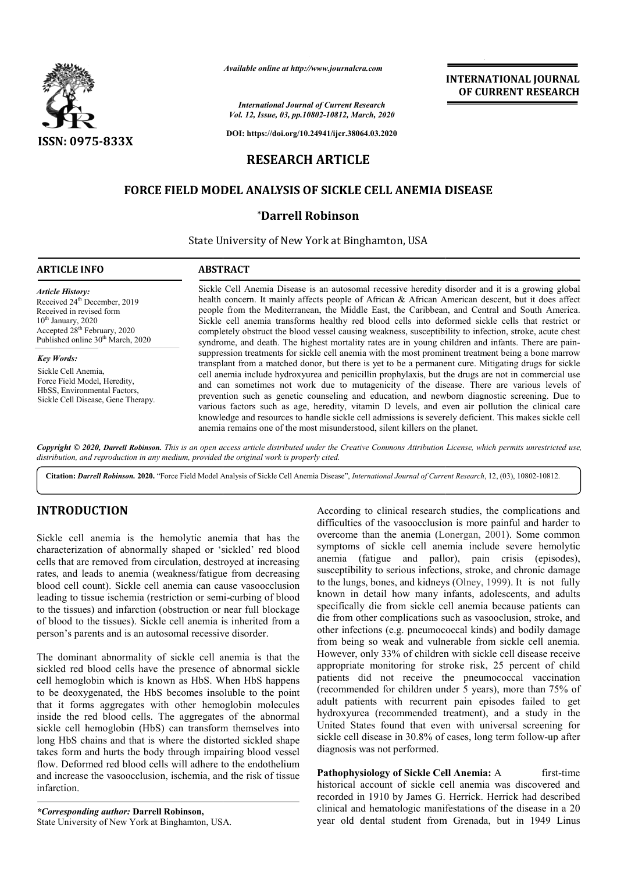

*Available online at http://www.journalcra.com*

*International Journal of Current Research Vol. 12, Issue, 03, pp.10802-10812, March, 2020*

**DOI: https://doi.org/10.24941/ijcr.38064.03.2020**

# **RESEARCH ARTICLE**

# **FORCE FIELD MODEL ANALYSIS OF SICKLE CELL ANEMIA DISEASE SICKLE CELL**

### **\*Darrell Robinson**

State University of New York at Binghamton, USA

| <b>ARTICLE INFO</b>                                                                                                                                                                                           | <b>ABSTRACT</b>                                                                                                                                                                                                                                                                                                                                                                                                                                                                                                                                                                                                                                                                                                                                                                                                  |
|---------------------------------------------------------------------------------------------------------------------------------------------------------------------------------------------------------------|------------------------------------------------------------------------------------------------------------------------------------------------------------------------------------------------------------------------------------------------------------------------------------------------------------------------------------------------------------------------------------------------------------------------------------------------------------------------------------------------------------------------------------------------------------------------------------------------------------------------------------------------------------------------------------------------------------------------------------------------------------------------------------------------------------------|
| Article History:<br>Received 24 <sup>th</sup> December, 2019<br>Received in revised form<br>$10th$ January, 2020<br>Accepted 28 <sup>th</sup> February, 2020<br>Published online 30 <sup>th</sup> March, 2020 | Sickle Cell Anemia Disease is an autosomal recessive heredity disorder and it is a growing global<br>health concern. It mainly affects people of African & African American descent, but it does affect<br>people from the Mediterranean, the Middle East, the Caribbean, and Central and South America.<br>Sickle cell anemia transforms healthy red blood cells into deformed sickle cells that restrict or<br>completely obstruct the blood vessel causing weakness, susceptibility to infection, stroke, acute chest<br>syndrome, and death. The highest mortality rates are in young children and infants. There are pain-                                                                                                                                                                                  |
| <b>Key Words:</b><br>Sickle Cell Anemia,<br>Force Field Model, Heredity,<br>HbSS, Environmental Factors,<br>Sickle Cell Disease, Gene Therapy.                                                                | suppression treatments for sickle cell anemia with the most prominent treatment being a bone marrow<br>transplant from a matched donor, but there is yet to be a permanent cure. Mitigating drugs for sickle<br>cell anemia include hydroxyurea and penicillin prophylaxis, but the drugs are not in commercial use<br>and can sometimes not work due to mutagenicity of the disease. There are various levels of<br>prevention such as genetic counseling and education, and newborn diagnostic screening. Due to<br>various factors such as age, heredity, vitamin D levels, and even air pollution the clinical care<br>knowledge and resources to handle sickle cell admissions is severely deficient. This makes sickle cell<br>anemia remains one of the most misunderstood, silent killers on the planet. |
|                                                                                                                                                                                                               | Copyright © 2020, Darrell Robinson. This is an open access article distributed under the Creative Commons Attribution License, which permits unrestricted use,                                                                                                                                                                                                                                                                                                                                                                                                                                                                                                                                                                                                                                                   |

*Copyright © 2020, Darrell Robinson. This is an open access distribution, and reproduction in any medium, provided the original work is properly cited. article distributed under the Creative Commons Attribution License, which permits unrestricted use,*

Citation: *Darrell Robinson.* 2020. "Force Field Model Analysis of Sickle Cell Anemia Disease", *International Journal of Current Research*, 12, (03), 10802-10812.

### **INTRODUCTION**

Sickle cell anemia is the hemolytic anemia that has the characterization of abnormally shaped or 'sickled' red blood cells that are removed from circulation, destroyed at increasing rates, and leads to anemia (weakness/fatigue from decreasing blood cell count). Sickle cell anemia can cause vasoocclusion blood cell count). Sickle cell anemia can cause vasoocclusion<br>leading to tissue ischemia (restriction or semi-curbing of blood to the tissues) and infarction (obstruction or near full blockage of blood to the tissues). Sickle cell anemia is inherited from a person's parents and is an autosomal recessive disorder.

The dominant abnormality of sickle cell anemia is that the sickled red blood cells have the presence of abnormal sickle cell hemoglobin which is known as HbS. When HbS happens to be deoxygenated, the HbS becomes insoluble to the point that it forms aggregates with other hemoglobin molecules inside the red blood cells. The aggregates of the abnormal sickle cell hemoglobin (HbS) can transform themselves into long HbS chains and that is where the distorted sickled shape takes form and hurts the body through impairing blood vessel flow. Deformed red blood cells will adhere to the endothelium and increase the vasoocclusion, ischemia, and the risk of tissue infarction. rts the body through impair<br>d blood cells will adhere to<br>ssoocclusion, ischemia, and<br>*hor*: **Darrell Robinson,**<br>Jew York at Binghamton, USA.

*\*Corresponding author:* **Darrell Robinson,** State University of New York at Binghamton, USA According to clinical research studies, the complications and difficulties of the vasoocclusion is more painful and harder to According to clinical research studies, the complications and difficulties of the vasoocclusion is more painful and harder to overcome than the anemia (Lonergan, 2001). Some common symptoms of sickle cell anemia include severe hemolytic anemia (fatigue and pallor), pain crisis (episodes), susceptibility to serious infections, stroke, and chronic damage susceptibility to serious infections, stroke, and chronic damage to the lungs, bones, and kidneys (Olney, 1999). It is not fully known in detail how many infants, adolescents, and adults specifically die from sickle cell anemia because patients can die from other complications such as vasooclusion, stroke, and other infections (e.g. pneumococcal kinds) and bodily damage from being so weak and vulnerable from sickle cell anemia. However, only 33% of children with sickle cell disease receive appropriate monitoring for stroke risk, 25 percent of child patients did not receive the pneumococcal vaccination (recommended for children under 5 years), more than 75% of adult patients with recurrent pain episodes failed to get hydroxyurea (recommended treatment), and a study in the United States found that even with universal screening for hydroxyurea (recommended treatment), and a study in the United States found that even with universal screening for sickle cell disease in 30.8% of cases, long term follow-up after diagnosis was not performed. known in detail how many infants, adolescents, and adults specifically die from sickle cell anemia because patients can die from other complications such as vasooclusion, stroke, and other infections (e.g. pneumococcal kin

**INTERNATIONAL JOURNAL OF CURRENT RESEARCH**

**Pathophysiology of Sickle Cell Anemia: A first-time** historical account of sickle cell anemia was discovered and recorded in 1910 by James G. Herrick. Herrick had described clinical and hematologic manifestations of the disease in a 20 historical account of sickle cell anemia was discovered and<br>recorded in 1910 by James G. Herrick. Herrick had described<br>clinical and hematologic manifestations of the disease in a 20<br>year old dental student from Grenada, b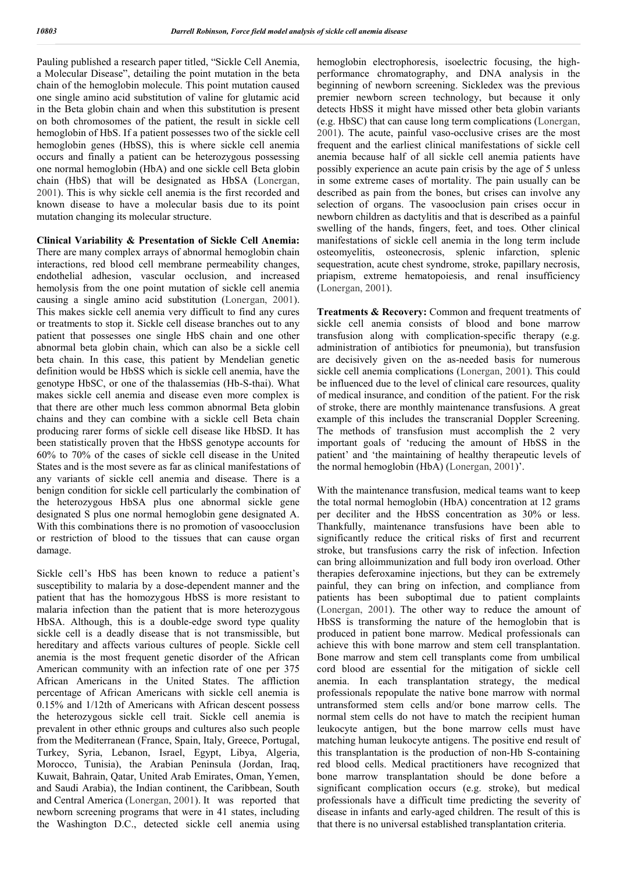Pauling published a research paper titled, "Sickle Cell Anemia, a Molecular Disease", detailing the point mutation in the beta chain of the hemoglobin molecule. This point mutation caused one single amino acid substitution of valine for glutamic acid in the Beta globin chain and when this substitution is present on both chromosomes of the patient, the result in sickle cell hemoglobin of HbS. If a patient possesses two of the sickle cell hemoglobin genes (HbSS), this is where sickle cell anemia occurs and finally a patient can be heterozygous possessing one normal hemoglobin (HbA) and one sickle cell Beta globin chain (HbS) that will be designated as HbSA (Lonergan, 2001). This is why sickle cell anemia is the first recorded and known disease to have a molecular basis due to its point mutation changing its molecular structure.

**Clinical Variability & Presentation of Sickle Cell Anemia:** There are many complex arrays of abnormal hemoglobin chain interactions, red blood cell membrane permeability changes, endothelial adhesion, vascular occlusion, and increased hemolysis from the one point mutation of sickle cell anemia causing a single amino acid substitution (Lonergan, 2001). This makes sickle cell anemia very difficult to find any cures or treatments to stop it. Sickle cell disease branches out to any patient that possesses one single HbS chain and one other abnormal beta globin chain, which can also be a sickle cell beta chain. In this case, this patient by Mendelian genetic definition would be HbSS which is sickle cell anemia, have the genotype HbSC, or one of the thalassemias (Hb-S-thai). What makes sickle cell anemia and disease even more complex is that there are other much less common abnormal Beta globin chains and they can combine with a sickle cell Beta chain producing rarer forms of sickle cell disease like HbSD. It has been statistically proven that the HbSS genotype accounts for 60% to 70% of the cases of sickle cell disease in the United States and is the most severe as far as clinical manifestations of any variants of sickle cell anemia and disease. There is a benign condition for sickle cell particularly the combination of the heterozygous HbSA plus one abnormal sickle gene designated S plus one normal hemoglobin gene designated A. With this combinations there is no promotion of vasoocclusion or restriction of blood to the tissues that can cause organ damage.

Sickle cell's HbS has been known to reduce a patient's susceptibility to malaria by a dose-dependent manner and the patient that has the homozygous HbSS is more resistant to malaria infection than the patient that is more heterozygous HbSA. Although, this is a double-edge sword type quality sickle cell is a deadly disease that is not transmissible, but hereditary and affects various cultures of people. Sickle cell anemia is the most frequent genetic disorder of the African American community with an infection rate of one per 375 African Americans in the United States. The affliction percentage of African Americans with sickle cell anemia is 0.15% and 1/12th of Americans with African descent possess the heterozygous sickle cell trait. Sickle cell anemia is prevalent in other ethnic groups and cultures also such people from the Mediterranean (France, Spain, Italy, Greece, Portugal, Turkey, Syria, Lebanon, Israel, Egypt, Libya, Algeria, Morocco, Tunisia), the Arabian Peninsula (Jordan, Iraq, Kuwait, Bahrain, Qatar, United Arab Emirates, Oman, Yemen, and Saudi Arabia), the Indian continent, the Caribbean, South and Central America (Lonergan, 2001). It was reported that newborn screening programs that were in 41 states, including the Washington D.C., detected sickle cell anemia using

hemoglobin electrophoresis, isoelectric focusing, the highperformance chromatography, and DNA analysis in the beginning of newborn screening. Sickledex was the previous premier newborn screen technology, but because it only detects HbSS it might have missed other beta globin variants (e.g. HbSC) that can cause long term complications (Lonergan, 2001). The acute, painful vaso-occlusive crises are the most frequent and the earliest clinical manifestations of sickle cell anemia because half of all sickle cell anemia patients have possibly experience an acute pain crisis by the age of 5 unless in some extreme cases of mortality. The pain usually can be described as pain from the bones, but crises can involve any selection of organs. The vasooclusion pain crises occur in newborn children as dactylitis and that is described as a painful swelling of the hands, fingers, feet, and toes. Other clinical manifestations of sickle cell anemia in the long term include osteomyelitis, osteonecrosis, splenic infarction, splenic sequestration, acute chest syndrome, stroke, papillary necrosis, priapism, extreme hematopoiesis, and renal insufficiency (Lonergan, 2001).

**Treatments & Recovery:** Common and frequent treatments of sickle cell anemia consists of blood and bone marrow transfusion along with complication-specific therapy (e.g. administration of antibiotics for pneumonia), but transfusion are decisively given on the as-needed basis for numerous sickle cell anemia complications (Lonergan, 2001). This could be influenced due to the level of clinical care resources, quality of medical insurance, and condition of the patient. For the risk of stroke, there are monthly maintenance transfusions. A great example of this includes the transcranial Doppler Screening. The methods of transfusion must accomplish the 2 very important goals of 'reducing the amount of HbSS in the patient' and 'the maintaining of healthy therapeutic levels of the normal hemoglobin (HbA) (Lonergan, 2001)'.

With the maintenance transfusion, medical teams want to keep the total normal hemoglobin (HbA) concentration at 12 grams per deciliter and the HbSS concentration as 30% or less. Thankfully, maintenance transfusions have been able to significantly reduce the critical risks of first and recurrent stroke, but transfusions carry the risk of infection. Infection can bring alloimmunization and full body iron overload. Other therapies deferoxamine injections, but they can be extremely painful, they can bring on infection, and compliance from patients has been suboptimal due to patient complaints (Lonergan, 2001). The other way to reduce the amount of HbSS is transforming the nature of the hemoglobin that is produced in patient bone marrow. Medical professionals can achieve this with bone marrow and stem cell transplantation. Bone marrow and stem cell transplants come from umbilical cord blood are essential for the mitigation of sickle cell anemia. In each transplantation strategy, the medical professionals repopulate the native bone marrow with normal untransformed stem cells and/or bone marrow cells. The normal stem cells do not have to match the recipient human leukocyte antigen, but the bone marrow cells must have matching human leukocyte antigens. The positive end result of this transplantation is the production of non-Hb S-containing red blood cells. Medical practitioners have recognized that bone marrow transplantation should be done before a significant complication occurs (e.g. stroke), but medical professionals have a difficult time predicting the severity of disease in infants and early-aged children. The result of this is that there is no universal established transplantation criteria.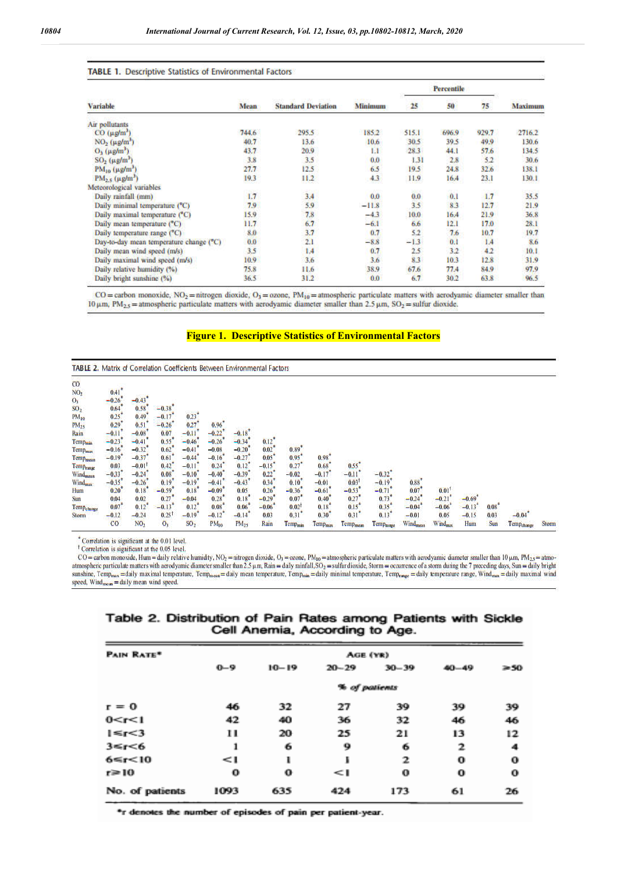#### TABLE 1. Descriptive Statistics of Environmental Factors

|                                         | <b>Mean</b> | <b>Standard Deviation</b> | Minimum |        |       |       |         |
|-----------------------------------------|-------------|---------------------------|---------|--------|-------|-------|---------|
| <b>Variable</b>                         |             |                           |         | 25     | 50    | 75    | Maximum |
| Air pollutants                          |             |                           |         |        |       |       |         |
| $CO (\mu g/m')$                         | 744.6       | 295.5                     | 185.2   | 515.1  | 696.9 | 929.7 | 2716.2  |
| $NO2$ ( $\mu g/m3$ )                    | 40.7        | 13.6                      | 10.6    | 30.5   | 39.5  | 49.9  | 130.6   |
| $O_3$ ( $\mu$ g/m <sup>3</sup> )        | 43.7        | 20.9                      | 1.1     | 28.3   | 44.1  | 57.6  | 134.5   |
| $SO2$ ( $\mu$ g/m <sup>3</sup> )        | 3.8         | 3.5                       | 0.0     | 1.31   | 2.8   | 52    | 30.6    |
| $PM_{10} (\mu g/m^3)$                   | 27.7        | 12.5                      | 6.5     | 19.5   | 24.8  | 32.6  | 138.1   |
| $PM2.5$ ( $\mu$ g/m <sup>3</sup> )      | 19.3        | 11.2                      | 4.3     | 11.9   | 16.4  | 23.1  | 130.1   |
| Meteorological variables                |             |                           |         |        |       |       |         |
| Daily rainfall (mm)                     | 1.7         | 3.4                       | 0.0     | 0.0    | 0.1   | 1.7   | 35.5    |
| Daily minimal temperature (°C)          | 7.9         | 5.9                       | $-11.8$ | 3.5    | 8.3   | 12.7  | 21.9    |
| Daily maximal temperature (°C)          | 15.9        | 7.8                       | $-4.3$  | 10.0   | 16:4  | 21.9  | 36.8    |
| Daily mean temperature (°C)             | 11.7        | 6.7                       | $-6.1$  | 6.6    | 12.1  | 17.0  | 28.1    |
| Daily temperature range (°C)            | 8.0         | 3.7                       | 0.7     | 5.2    | 7.6   | 10.7  | 19.7    |
| Day-to-day mean temperature change (°C) | 0.0         | 2.1                       | $-8.8$  | $-1.3$ | 0.1   | 1.4   | 8.6     |
| Daily mean wind speed (m/s)             | 3.5         | 1.4                       | 0.7     | 2.5    | 3.2   | 4.2   | 10.1    |
| Daily maximal wind speed (m/s)          | 10.9        | 3.6                       | 3.6     | 8.3    | 10.3  | 12.8  | 31.9    |
| Daily relative humidity (%)             | 75.8        | 11.6                      | 38.9    | 67.6   | 77.4  | 84.9  | 97.9    |
| Daily bright sunshine (%)               | 36.5        | 31.2                      | 0.0     | 6.7    | 30.2  | 63.8  | 96.5    |

 $CO =$ carbon monoxide,  $NO_2 =$ nitrogen dioxide,  $O_3 =$ ozone,  $PM_{10} =$ atmospheric particulate matters with aerodyamic diameter smaller than 10 μm, PM<sub>2.5</sub> = atmospheric particulate matters with aerodyamic diameter smaller than 2.5 μm, SO<sub>2</sub> = sulfur dioxide.

#### **Figure 1. Descriptive Statistics of Environmental Factors**

| <b>TABLE 2. Matrix of Correlation Coefficients Between Environmental Factors</b> |                     |                 |                     |                     |           |           |                     |                     |                     |                     |                       |                       |                      |          |            |                        |              |
|----------------------------------------------------------------------------------|---------------------|-----------------|---------------------|---------------------|-----------|-----------|---------------------|---------------------|---------------------|---------------------|-----------------------|-----------------------|----------------------|----------|------------|------------------------|--------------|
| CO                                                                               |                     |                 |                     |                     |           |           |                     |                     |                     |                     |                       |                       |                      |          |            |                        |              |
| NO <sub>2</sub>                                                                  | $0.41$ <sup>*</sup> |                 |                     |                     |           |           |                     |                     |                     |                     |                       |                       |                      |          |            |                        |              |
| O <sub>3</sub>                                                                   | $-0.26$             | $-0.43$         |                     |                     |           |           |                     |                     |                     |                     |                       |                       |                      |          |            |                        |              |
| SO <sub>2</sub>                                                                  | 0.64                | 0.58            | $-0.38$             |                     |           |           |                     |                     |                     |                     |                       |                       |                      |          |            |                        |              |
| $PM_{10}$                                                                        | 0.25                | 0.49            | $-0.17$             | $0.23$ <sup>+</sup> |           |           |                     |                     |                     |                     |                       |                       |                      |          |            |                        |              |
| $PM_{25}$                                                                        | 0.29                | 0, 51           | $-0.26$             | 0.27                | 0.96      |           |                     |                     |                     |                     |                       |                       |                      |          |            |                        |              |
| Rain                                                                             | $-0.11$             | $-0.08$         | 0.07                | $-0.11$             | $-0.22$   | $-0.18$   |                     |                     |                     |                     |                       |                       |                      |          |            |                        |              |
| Tempmin                                                                          | $-0.23$             | $-0.41$         | 0.55                | $-0.46$             | $-0.26$   | $-0.34$   | $0.12$ <sup>*</sup> |                     |                     |                     |                       |                       |                      |          |            |                        |              |
| Temp <sub>min</sub>                                                              | $-0.16$             | $-0.32$         | 0.62                | $-0.41$             | $-0.08$   | $-0.20$   | 0.02                | $0.89*$             |                     |                     |                       |                       |                      |          |            |                        |              |
| Temp <sub>mein</sub>                                                             | $-0.19$             | $-0.37$         | 0.61                | $-0.44$             | $-0.16$   | $-0.27$   | 0.05                | 0.95                | 0.98                |                     |                       |                       |                      |          |            |                        |              |
| Temp <sub>ringe</sub>                                                            | 0.03                | $-0.01$         | 0.42                | $-0.11$             | 0.24      | 0.12      | $-0.15$             | 0.27                | 0.68                | 0.55                |                       |                       |                      |          |            |                        |              |
| Wind <sub>mean</sub>                                                             | $-0.33$             | $-0.24$         | 0.08                | $-0.10$             | $-0.40$   | $-0.39$   | 0.22                | $-0.02$             | $-0.17$             | $-0.11$             | $-0.32$               |                       |                      |          |            |                        |              |
| Wind <sub>max</sub>                                                              | $-0.35$             | $-0.26$         | 0.19                | $-0.19$             | $-0.41$   | $-0.43$   | 0.34                | 0.10                | $-0.01$             | 0.03                | $-0.19$               | $0.88$ <sup>*</sup>   |                      |          |            |                        |              |
| Hum                                                                              | 0.20                | 0.18            | $-0.59$             | 0.18                | $-0.09$   | 0.05      | 0.26                | $-0.36$             | $-0.61$             | $-0.53$             | $-0.71$               | 0.07                  | $0.01$ <sup>1</sup>  |          |            |                        |              |
| Sun                                                                              | 0.04                | 0.02            | 0.27                | $-0.04$             | 0.28      | 0.18      | $-0.29$             | 0.07                | 0.40                | 0.27                | 0.73                  | $-0.24$               | $-0.21$ <sup>*</sup> | $-0.69*$ |            |                        |              |
| Temp <sub>elange</sub>                                                           | 0.07                | 0.12            | $-0.13$             | 0.12                | 0.08      | 0.06      | $-0.06$             | $0.02$ <sup>1</sup> | 0.18                | 0.15                | 0.35                  | $-0.04$               | $-0.06$              | $-0.13$  | 0.08       |                        |              |
| Storm                                                                            | $-0.12$             | $-0.24$         | $0.25$ <sup>1</sup> | $-0.19$             | $-0.12$   | $-0.14$   | 0.03                | 0.31                | 0.30                | 0.31                | 0.13                  | $-0.01$               | 0.05                 | $-0.15$  | 0.03       | $-0.04$                |              |
|                                                                                  | CO                  | NO <sub>2</sub> | O <sub>1</sub>      | SO <sub>2</sub>     | $PM_{10}$ | $PM_{25}$ | Rain                | Temp <sub>min</sub> | Temp <sub>max</sub> | Temp <sub>mom</sub> | Temp <sub>ninge</sub> | Wind <sub>maxin</sub> | Wind <sub>max</sub>  | Hum      | <b>Sun</b> | Temp <sub>change</sub> | <b>Storm</b> |

\* Correlation is significant at the 0.01 level.

<sup>†</sup> Correlation is significant at the 0.05 level.

CO = carbon monoxide, Hum = daily relative humidity, NO<sub>2</sub> = nitrogen dioxide, O<sub>3</sub> = ozone, PM<sub>10</sub> = atmospheric particulate matters with aerodyamic diameter smaller than 10 µm, PM<sub>2.5</sub> = atmoatmospheric particulate matters with aerodyamic diameter smaller than  $2.5 \mu$ m, Rain = daily rainfall, SO<sub>2</sub> = sulfur dioxide, Storm = occurrence of a storm during the 7 preceding days, Sun = daily bright sunshine, Temp<sub>max</sub> = daily maximal temperature, Temp<sub>monn</sub> = daily mean temperature, Temp<sub>man</sub> = daily minimal temperature, Temp<sub>mage</sub> = daily temperature range, Wind<sub>max</sub> = daily maximal wind speed, Wind<sub>max</sub> = daily ma

### Table 2. Distribution of Pain Rates among Patients with Sickle Cell Anemia, According to Age.

| <b>PAIN RATE®</b>  | Age (YR) |           |               |           |           |          |  |  |  |
|--------------------|----------|-----------|---------------|-----------|-----------|----------|--|--|--|
|                    | $0 - 9$  | $10 - 19$ | $20 - 29$     | $30 - 39$ | $40 - 49$ | $2 - 50$ |  |  |  |
|                    |          |           | % of patients |           |           |          |  |  |  |
| $r = 0$            | 46       | 32        | 27            | 39        | -39       | 39       |  |  |  |
| 0 < r < 1          | 42       | 40        | 36            | 32        | 46        | 46       |  |  |  |
| $1 \leq r < 3$     | 11       | 20.       | 25            | 21        | 13        | 12       |  |  |  |
| 3 < r < 6          | Ĩ        | 6         | 9             | 6         | 2         | 4        |  |  |  |
| $6 \leq r \leq 10$ | - 1      | н         | B             | 2         | Ω         | 0        |  |  |  |
| $r \geq 10$        | О.       | $\bf{0}$  | - - 1         | 0         | 0         | 0        |  |  |  |
| No. of patients    | 1093     | 635       | 424           | 173       | 61        | 26       |  |  |  |

\*r denotes the number of episodes of pain per patient-year.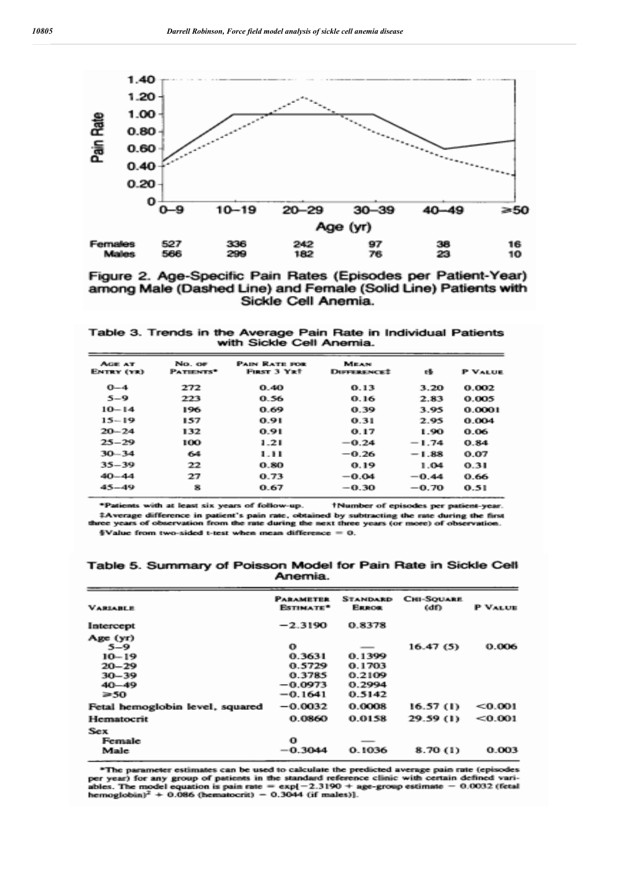

Figure 2. Age-Specific Pain Rates (Episodes per Patient-Year) among Male (Dashed Line) and Female (Solid Line) Patients with Sickle Cell Anemia.

Table 3. Trends in the Average Pain Rate in Individual Patients with Sickle Cell Anemia.

| AGE AT<br>ENTRY (YR) | No. or<br>PATIENTS <sup>*</sup> | <b>PAIN RATE FOR</b><br><b>FIRST 3 YRT</b> | <b>MEAN</b><br><b>DIFFERENCE?</b> | 绿       | <b>P VALUE</b> |
|----------------------|---------------------------------|--------------------------------------------|-----------------------------------|---------|----------------|
| $0 - 4$              | 272                             | 0.40                                       | 0.13                              | 3.20    | 0.002          |
| $5 - 9$              | 223                             | 0.56                                       | 0.16                              | 2.83    | 0.005          |
| $10 - 14$            | 196                             | 0.69                                       | 0.39                              | 3.95    | 0.0001         |
| $15 - 19$            | 157                             | 0.91                                       | 0.31                              | 2.95    | 0.004          |
| $20 - 24$            | 132                             | 0.91                                       | 0.17                              | 1.90    | 0.06           |
| $25 - 29$            | 100                             | 1.21                                       | $-0.24$                           | $-1.74$ | 0.84           |
| $30 - 34$            | 64                              | 1.11                                       | $-0.26$                           | $-1.88$ | 0.07           |
| $35 - 39$            | 22                              | 0.80                                       | 0.19                              | 1.04    | 0.31           |
| $40 - 44$            | 27                              | 0.73                                       | $-0.04$                           | $-0.44$ | 0.66           |
| $45 - 49$            | 8                               | 0.67                                       | $-0.30$                           | $-0.70$ | 0.51           |

\*Patients with at least six years of follow-up. †Number of episodes per patient-year. #Average difference in patient's pain rate, obtained by subtracting the rate during the first three years of observation from the rate during the next three years (or more) of observation. §Value from two-sided t-test when mean difference =  $0$ .

Table 5. Summary of Poisson Model for Pain Rate in Sickle Cell Anemia.

| <b><i>VARIABLE</i></b>          | <b>PARAMETER</b><br>Estrematic tre <sup>st</sup> | <b>STANDARD</b><br><b>ERROR</b> | <b>CHI-SOUARE</b><br>(df) | P VALUE |
|---------------------------------|--------------------------------------------------|---------------------------------|---------------------------|---------|
| Intercept                       | $-2.3190$                                        | 0.8378                          |                           |         |
| Age (yr)<br>$5 - 9$             | œ                                                |                                 | 16.47(5)                  | 0.006   |
| $10 - 19$                       | 0.3631                                           | 0.1399                          |                           |         |
| $20 - 29$                       | 0.5729                                           | 0.1703                          |                           |         |
| $30 - 39$                       | 0.3785                                           | 0.2109                          |                           |         |
| $40 - 49$                       | $-0.0973$                                        | 0.2994                          |                           |         |
| 3-50.                           | $-0.1641$                                        | 0.5142                          |                           |         |
| Fetal hemoglobin level, squared | $-0.0032$                                        | 0.0008                          | 16.57 CD                  | < 0.001 |
| Hematocrit                      | 0.0860                                           | 0.0158                          | 29.59 (1)                 | < 0.001 |
| Sex                             |                                                  |                                 |                           |         |
| <b>Female</b>                   | Ω                                                |                                 |                           |         |
| Male                            | —0. ЗА44                                         | 0.1036                          | 8.70 (1)                  | 0.003   |

\*The parameter estimates can be used to calculate the predicted average pain rate (episodes per year) for any group of patients in the standard reference clinic with certain defined variables. The model equation is pain rate =  $\exp[-2.3190 + \text{age-group estimate} - 0.0032$  (fetal hemoglobin)<sup>2</sup> + 0.086 (hematocrit) - 0.3044 (if ma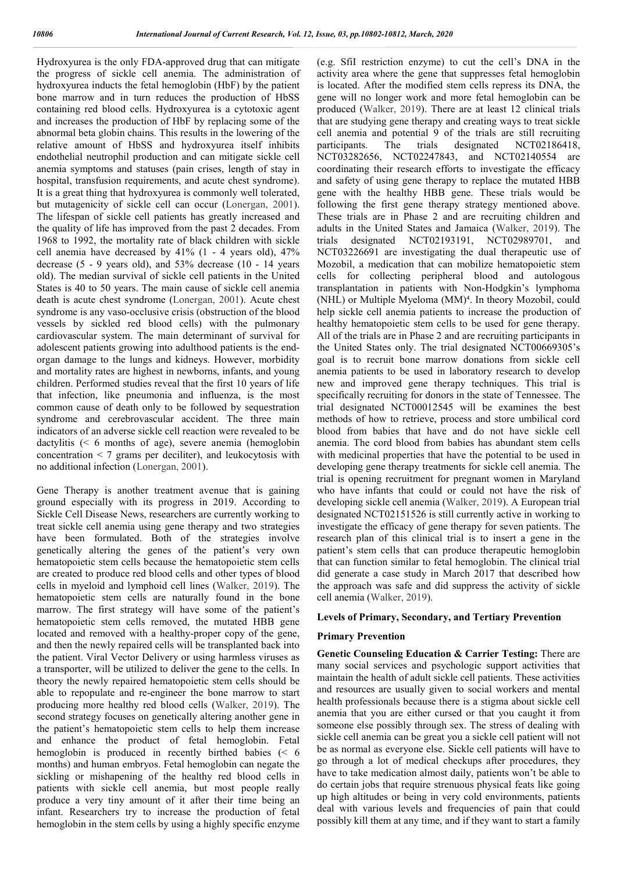Hydroxyurea is the only FDA-approved drug that can mitigate the progress of sickle cell anemia. The administration of hydroxyurea inducts the fetal hemoglobin (HbF) by the patient bone marrow and in turn reduces the production of HbSS containing red blood cells. Hydroxyurea is a cytotoxic agent and increases the production of HbF by replacing some of the abnormal beta globin chains. This results in the lowering of the relative amount of HbSS and hydroxyurea itself inhibits endothelial neutrophil production and can mitigate sickle cell anemia symptoms and statuses (pain crises, length of stay in hospital, transfusion requirements, and acute chest syndrome). It is a great thing that hydroxyurea is commonly well tolerated, but mutagenicity of sickle cell can occur (Lonergan, 2001). The lifespan of sickle cell patients has greatly increased and the quality of life has improved from the past 2 decades. From 1968 to 1992, the mortality rate of black children with sickle cell anemia have decreased by  $41\%$  (1 - 4 years old),  $47\%$ decrease (5 - 9 years old), and 53% decrease (10 - 14 years old). The median survival of sickle cell patients in the United States is 40 to 50 years. The main cause of sickle cell anemia death is acute chest syndrome (Lonergan, 2001). Acute chest syndrome is any vaso-occlusive crisis (obstruction of the blood vessels by sickled red blood cells) with the pulmonary cardiovascular system. The main determinant of survival for adolescent patients growing into adulthood patients is the endorgan damage to the lungs and kidneys. However, morbidity and mortality rates are highest in newborns, infants, and young children. Performed studies reveal that the first 10 years of life that infection, like pneumonia and influenza, is the most common cause of death only to be followed by sequestration syndrome and cerebrovascular accident. The three main indicators of an adverse sickle cell reaction were revealed to be dactylitis (< 6 months of age), severe anemia (hemoglobin concentration < 7 grams per deciliter), and leukocytosis with no additional infection (Lonergan, 2001).

Gene Therapy is another treatment avenue that is gaining ground especially with its progress in 2019. According to Sickle Cell Disease News, researchers are currently working to treat sickle cell anemia using gene therapy and two strategies have been formulated. Both of the strategies involve genetically altering the genes of the patient's very own hematopoietic stem cells because the hematopoietic stem cells are created to produce red blood cells and other types of blood cells in myeloid and lymphoid cell lines (Walker, 2019). The hematopoietic stem cells are naturally found in the bone marrow. The first strategy will have some of the patient's hematopoietic stem cells removed, the mutated HBB gene located and removed with a healthy-proper copy of the gene, and then the newly repaired cells will be transplanted back into the patient. Viral Vector Delivery or using harmless viruses as a transporter, will be utilized to deliver the gene to the cells. In theory the newly repaired hematopoietic stem cells should be able to repopulate and re-engineer the bone marrow to start producing more healthy red blood cells (Walker, 2019). The second strategy focuses on genetically altering another gene in the patient's hematopoietic stem cells to help them increase and enhance the product of fetal hemoglobin. Fetal hemoglobin is produced in recently birthed babies (< 6 months) and human embryos. Fetal hemoglobin can negate the sickling or mishapening of the healthy red blood cells in patients with sickle cell anemia, but most people really produce a very tiny amount of it after their time being an infant. Researchers try to increase the production of fetal hemoglobin in the stem cells by using a highly specific enzyme

(e.g. SfiI restriction enzyme) to cut the cell's DNA in the activity area where the gene that suppresses fetal hemoglobin is located. After the modified stem cells repress its DNA, the gene will no longer work and more fetal hemoglobin can be produced (Walker, 2019). There are at least 12 clinical trials that are studying gene therapy and creating ways to treat sickle cell anemia and potential 9 of the trials are still recruiting participants. The trials designated NCT02186418, NCT03282656, NCT02247843, and NCT02140554 are coordinating their research efforts to investigate the efficacy and safety of using gene therapy to replace the mutated HBB gene with the healthy HBB gene. These trials would be following the first gene therapy strategy mentioned above. These trials are in Phase 2 and are recruiting children and adults in the United States and Jamaica (Walker, 2019). The trials designated NCT02193191, NCT02989701, and NCT03226691 are investigating the dual therapeutic use of Mozobil, a medication that can mobilize hematopoietic stem cells for collecting peripheral blood and autologous transplantation in patients with Non-Hodgkin's lymphoma (NHL) or Multiple Myeloma (MM)<sup>4</sup>. In theory Mozobil, could help sickle cell anemia patients to increase the production of healthy hematopoietic stem cells to be used for gene therapy. All of the trials are in Phase 2 and are recruiting participants in the United States only. The trial designated NCT00669305's goal is to recruit bone marrow donations from sickle cell anemia patients to be used in laboratory research to develop new and improved gene therapy techniques. This trial is specifically recruiting for donors in the state of Tennessee. The trial designated NCT00012545 will be examines the best methods of how to retrieve, process and store umbilical cord blood from babies that have and do not have sickle cell anemia. The cord blood from babies has abundant stem cells with medicinal properties that have the potential to be used in developing gene therapy treatments for sickle cell anemia. The trial is opening recruitment for pregnant women in Maryland who have infants that could or could not have the risk of developing sickle cell anemia (Walker, 2019). A European trial designated NCT02151526 is still currently active in working to investigate the efficacy of gene therapy for seven patients. The research plan of this clinical trial is to insert a gene in the patient's stem cells that can produce therapeutic hemoglobin that can function similar to fetal hemoglobin. The clinical trial did generate a case study in March 2017 that described how the approach was safe and did suppress the activity of sickle cell anemia (Walker, 2019).

## **Levels of Primary, Secondary, and Tertiary Prevention**

#### **Primary Prevention**

**Genetic Counseling Education & Carrier Testing:** There are many social services and psychologic support activities that maintain the health of adult sickle cell patients. These activities and resources are usually given to social workers and mental health professionals because there is a stigma about sickle cell anemia that you are either cursed or that you caught it from someone else possibly through sex. The stress of dealing with sickle cell anemia can be great you a sickle cell patient will not be as normal as everyone else. Sickle cell patients will have to go through a lot of medical checkups after procedures, they have to take medication almost daily, patients won't be able to do certain jobs that require strenuous physical feats like going up high altitudes or being in very cold environments, patients deal with various levels and frequencies of pain that could possibly kill them at any time, and if they want to start a family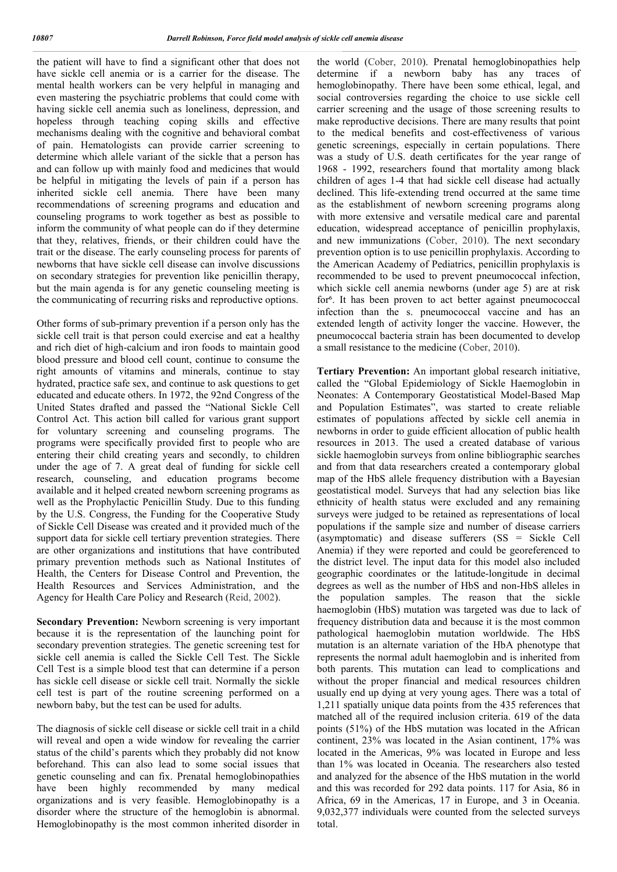the patient will have to find a significant other that does not have sickle cell anemia or is a carrier for the disease. The mental health workers can be very helpful in managing and even mastering the psychiatric problems that could come with having sickle cell anemia such as loneliness, depression, and hopeless through teaching coping skills and effective mechanisms dealing with the cognitive and behavioral combat of pain. Hematologists can provide carrier screening to determine which allele variant of the sickle that a person has and can follow up with mainly food and medicines that would be helpful in mitigating the levels of pain if a person has inherited sickle cell anemia. There have been many recommendations of screening programs and education and counseling programs to work together as best as possible to inform the community of what people can do if they determine that they, relatives, friends, or their children could have the trait or the disease. The early counseling process for parents of newborns that have sickle cell disease can involve discussions on secondary strategies for prevention like penicillin therapy, but the main agenda is for any genetic counseling meeting is the communicating of recurring risks and reproductive options.

Other forms of sub-primary prevention if a person only has the sickle cell trait is that person could exercise and eat a healthy and rich diet of high-calcium and iron foods to maintain good blood pressure and blood cell count, continue to consume the right amounts of vitamins and minerals, continue to stay hydrated, practice safe sex, and continue to ask questions to get educated and educate others. In 1972, the 92nd Congress of the United States drafted and passed the "National Sickle Cell Control Act. This action bill called for various grant support for voluntary screening and counseling programs. The programs were specifically provided first to people who are entering their child creating years and secondly, to children under the age of 7. A great deal of funding for sickle cell research, counseling, and education programs become available and it helped created newborn screening programs as well as the Prophylactic Penicillin Study. Due to this funding by the U.S. Congress, the Funding for the Cooperative Study of Sickle Cell Disease was created and it provided much of the support data for sickle cell tertiary prevention strategies. There are other organizations and institutions that have contributed primary prevention methods such as National Institutes of Health, the Centers for Disease Control and Prevention, the Health Resources and Services Administration, and the Agency for Health Care Policy and Research (Reid, 2002).

**Secondary Prevention:** Newborn screening is very important because it is the representation of the launching point for secondary prevention strategies. The genetic screening test for sickle cell anemia is called the Sickle Cell Test. The Sickle Cell Test is a simple blood test that can determine if a person has sickle cell disease or sickle cell trait. Normally the sickle cell test is part of the routine screening performed on a newborn baby, but the test can be used for adults.

The diagnosis of sickle cell disease or sickle cell trait in a child will reveal and open a wide window for revealing the carrier status of the child's parents which they probably did not know beforehand. This can also lead to some social issues that genetic counseling and can fix. Prenatal hemoglobinopathies have been highly recommended by many medical organizations and is very feasible. Hemoglobinopathy is a disorder where the structure of the hemoglobin is abnormal. Hemoglobinopathy is the most common inherited disorder in the world (Cober, 2010). Prenatal hemoglobinopathies help determine if a newborn baby has any traces of hemoglobinopathy. There have been some ethical, legal, and social controversies regarding the choice to use sickle cell carrier screening and the usage of those screening results to make reproductive decisions. There are many results that point to the medical benefits and cost-effectiveness of various genetic screenings, especially in certain populations. There was a study of U.S. death certificates for the year range of 1968 - 1992, researchers found that mortality among black children of ages 1-4 that had sickle cell disease had actually declined. This life-extending trend occurred at the same time as the establishment of newborn screening programs along with more extensive and versatile medical care and parental education, widespread acceptance of penicillin prophylaxis, and new immunizations (Cober, 2010). The next secondary prevention option is to use penicillin prophylaxis. According to the American Academy of Pediatrics, penicillin prophylaxis is recommended to be used to prevent pneumococcal infection, which sickle cell anemia newborns (under age 5) are at risk for<sup>6</sup>. It has been proven to act better against pneumococcal infection than the s. pneumococcal vaccine and has an extended length of activity longer the vaccine. However, the pneumococcal bacteria strain has been documented to develop a small resistance to the medicine (Cober, 2010).

**Tertiary Prevention:** An important global research initiative, called the "Global Epidemiology of Sickle Haemoglobin in Neonates: A Contemporary Geostatistical Model-Based Map and Population Estimates", was started to create reliable estimates of populations affected by sickle cell anemia in newborns in order to guide efficient allocation of public health resources in 2013. The used a created database of various sickle haemoglobin surveys from online bibliographic searches and from that data researchers created a contemporary global map of the HbS allele frequency distribution with a Bayesian geostatistical model. Surveys that had any selection bias like ethnicity of health status were excluded and any remaining surveys were judged to be retained as representations of local populations if the sample size and number of disease carriers (asymptomatic) and disease sufferers (SS = Sickle Cell Anemia) if they were reported and could be georeferenced to the district level. The input data for this model also included geographic coordinates or the latitude-longitude in decimal degrees as well as the number of HbS and non-HbS alleles in the population samples. The reason that the sickle haemoglobin (HbS) mutation was targeted was due to lack of frequency distribution data and because it is the most common pathological haemoglobin mutation worldwide. The HbS mutation is an alternate variation of the HbA phenotype that represents the normal adult haemoglobin and is inherited from both parents. This mutation can lead to complications and without the proper financial and medical resources children usually end up dying at very young ages. There was a total of 1,211 spatially unique data points from the 435 references that matched all of the required inclusion criteria. 619 of the data points (51%) of the HbS mutation was located in the African continent, 23% was located in the Asian continent, 17% was located in the Americas, 9% was located in Europe and less than 1% was located in Oceania. The researchers also tested and analyzed for the absence of the HbS mutation in the world and this was recorded for 292 data points. 117 for Asia, 86 in Africa, 69 in the Americas, 17 in Europe, and 3 in Oceania. 9,032,377 individuals were counted from the selected surveys total.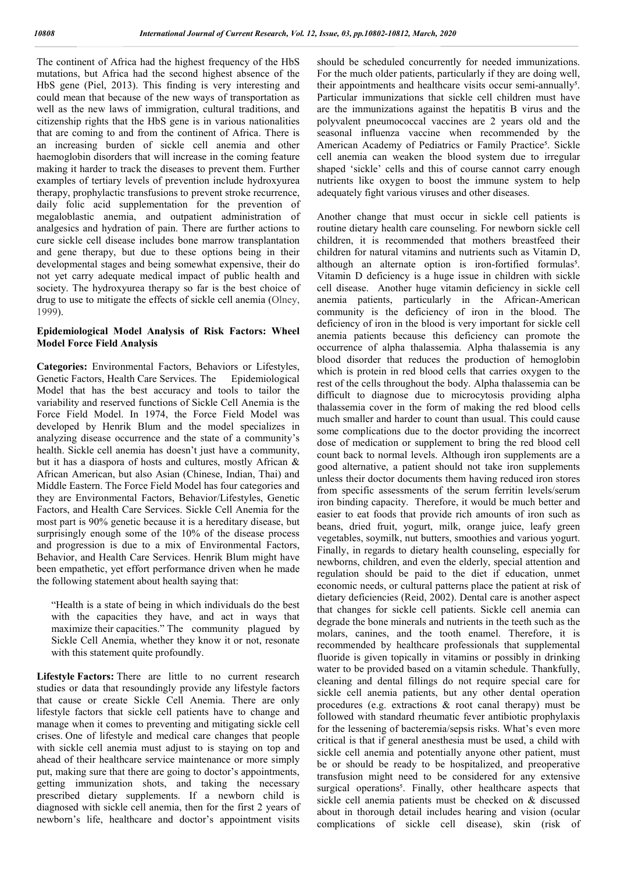The continent of Africa had the highest frequency of the HbS mutations, but Africa had the second highest absence of the HbS gene (Piel, 2013). This finding is very interesting and could mean that because of the new ways of transportation as well as the new laws of immigration, cultural traditions, and citizenship rights that the HbS gene is in various nationalities that are coming to and from the continent of Africa. There is an increasing burden of sickle cell anemia and other haemoglobin disorders that will increase in the coming feature making it harder to track the diseases to prevent them. Further examples of tertiary levels of prevention include hydroxyurea therapy, prophylactic transfusions to prevent stroke recurrence, daily folic acid supplementation for the prevention of megaloblastic anemia, and outpatient administration of analgesics and hydration of pain. There are further actions to cure sickle cell disease includes bone marrow transplantation and gene therapy, but due to these options being in their developmental stages and being somewhat expensive, their do not yet carry adequate medical impact of public health and society. The hydroxyurea therapy so far is the best choice of drug to use to mitigate the effects of sickle cell anemia (Olney, 1999).

### **Epidemiological Model Analysis of Risk Factors: Wheel Model Force Field Analysis**

**Categories:** Environmental Factors, Behaviors or Lifestyles, Genetic Factors, Health Care Services. The Epidemiological Model that has the best accuracy and tools to tailor the variability and reserved functions of Sickle Cell Anemia is the Force Field Model. In 1974, the Force Field Model was developed by Henrik Blum and the model specializes in analyzing disease occurrence and the state of a community's health. Sickle cell anemia has doesn't just have a community, but it has a diaspora of hosts and cultures, mostly African & African American, but also Asian (Chinese, Indian, Thai) and Middle Eastern. The Force Field Model has four categories and they are Environmental Factors, Behavior/Lifestyles, Genetic Factors, and Health Care Services. Sickle Cell Anemia for the most part is 90% genetic because it is a hereditary disease, but surprisingly enough some of the 10% of the disease process and progression is due to a mix of Environmental Factors, Behavior, and Health Care Services. Henrik Blum might have been empathetic, yet effort performance driven when he made the following statement about health saying that:

"Health is a state of being in which individuals do the best with the capacities they have, and act in ways that maximize their capacities." The community plagued by Sickle Cell Anemia, whether they know it or not, resonate with this statement quite profoundly.

**Lifestyle Factors:** There are little to no current research studies or data that resoundingly provide any lifestyle factors that cause or create Sickle Cell Anemia. There are only lifestyle factors that sickle cell patients have to change and manage when it comes to preventing and mitigating sickle cell crises. One of lifestyle and medical care changes that people with sickle cell anemia must adjust to is staying on top and ahead of their healthcare service maintenance or more simply put, making sure that there are going to doctor's appointments, getting immunization shots, and taking the necessary prescribed dietary supplements. If a newborn child is diagnosed with sickle cell anemia, then for the first 2 years of newborn's life, healthcare and doctor's appointment visits

should be scheduled concurrently for needed immunizations. For the much older patients, particularly if they are doing well, their appointments and healthcare visits occur semi-annually<sup>5</sup>. Particular immunizations that sickle cell children must have are the immunizations against the hepatitis B virus and the polyvalent pneumococcal vaccines are 2 years old and the seasonal influenza vaccine when recommended by the American Academy of Pediatrics or Family Practice<sup>5</sup>. Sickle cell anemia can weaken the blood system due to irregular shaped 'sickle' cells and this of course cannot carry enough nutrients like oxygen to boost the immune system to help adequately fight various viruses and other diseases.

Another change that must occur in sickle cell patients is routine dietary health care counseling. For newborn sickle cell children, it is recommended that mothers breastfeed their children for natural vitamins and nutrients such as Vitamin D, although an alternate option is iron-fortified formulas<sup>5</sup>. Vitamin D deficiency is a huge issue in children with sickle cell disease. Another huge vitamin deficiency in sickle cell anemia patients, particularly in the African-American community is the deficiency of iron in the blood. The deficiency of iron in the blood is very important for sickle cell anemia patients because this deficiency can promote the occurrence of alpha thalassemia. Alpha thalassemia is any blood disorder that reduces the production of hemoglobin which is protein in red blood cells that carries oxygen to the rest of the cells throughout the body. Alpha thalassemia can be difficult to diagnose due to microcytosis providing alpha thalassemia cover in the form of making the red blood cells much smaller and harder to count than usual. This could cause some complications due to the doctor providing the incorrect dose of medication or supplement to bring the red blood cell count back to normal levels. Although iron supplements are a good alternative, a patient should not take iron supplements unless their doctor documents them having reduced iron stores from specific assessments of the serum ferritin levels/serum iron binding capacity. Therefore, it would be much better and easier to eat foods that provide rich amounts of iron such as beans, dried fruit, yogurt, milk, orange juice, leafy green vegetables, soymilk, nut butters, smoothies and various yogurt. Finally, in regards to dietary health counseling, especially for newborns, children, and even the elderly, special attention and regulation should be paid to the diet if education, unmet economic needs, or cultural patterns place the patient at risk of dietary deficiencies (Reid, 2002). Dental care is another aspect that changes for sickle cell patients. Sickle cell anemia can degrade the bone minerals and nutrients in the teeth such as the molars, canines, and the tooth enamel. Therefore, it is recommended by healthcare professionals that supplemental fluoride is given topically in vitamins or possibly in drinking water to be provided based on a vitamin schedule. Thankfully, cleaning and dental fillings do not require special care for sickle cell anemia patients, but any other dental operation procedures (e.g. extractions & root canal therapy) must be followed with standard rheumatic fever antibiotic prophylaxis for the lessening of bacteremia/sepsis risks. What's even more critical is that if general anesthesia must be used, a child with sickle cell anemia and potentially anyone other patient, must be or should be ready to be hospitalized, and preoperative transfusion might need to be considered for any extensive surgical operations<sup>5</sup>. Finally, other healthcare aspects that sickle cell anemia patients must be checked on & discussed about in thorough detail includes hearing and vision (ocular complications of sickle cell disease), skin (risk of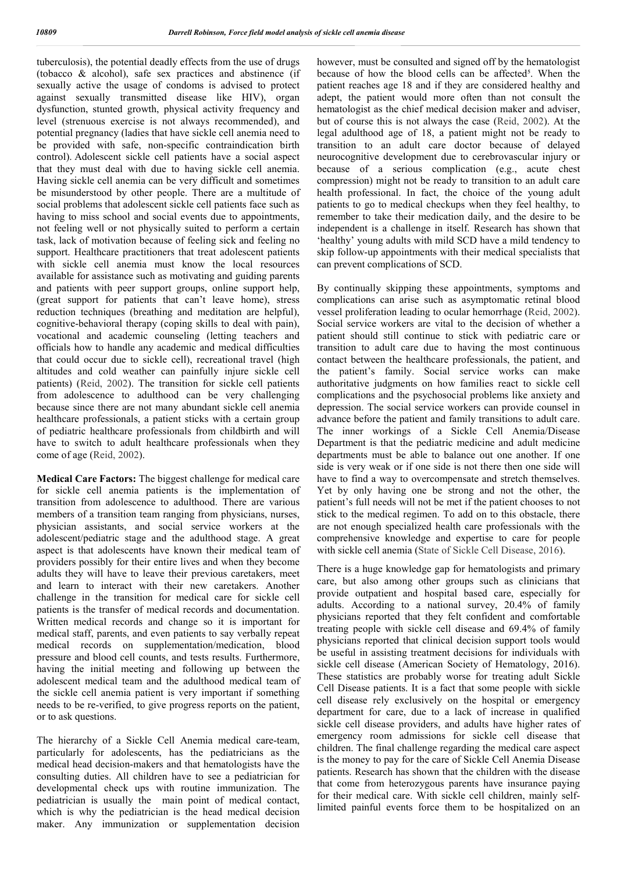tuberculosis), the potential deadly effects from the use of drugs (tobacco & alcohol), safe sex practices and abstinence (if sexually active the usage of condoms is advised to protect against sexually transmitted disease like HIV), organ dysfunction, stunted growth, physical activity frequency and level (strenuous exercise is not always recommended), and potential pregnancy (ladies that have sickle cell anemia need to be provided with safe, non-specific contraindication birth control). Adolescent sickle cell patients have a social aspect that they must deal with due to having sickle cell anemia. Having sickle cell anemia can be very difficult and sometimes be misunderstood by other people. There are a multitude of social problems that adolescent sickle cell patients face such as having to miss school and social events due to appointments, not feeling well or not physically suited to perform a certain task, lack of motivation because of feeling sick and feeling no support. Healthcare practitioners that treat adolescent patients with sickle cell anemia must know the local resources available for assistance such as motivating and guiding parents and patients with peer support groups, online support help, (great support for patients that can't leave home), stress reduction techniques (breathing and meditation are helpful), cognitive-behavioral therapy (coping skills to deal with pain), vocational and academic counseling (letting teachers and officials how to handle any academic and medical difficulties that could occur due to sickle cell), recreational travel (high altitudes and cold weather can painfully injure sickle cell patients) (Reid, 2002). The transition for sickle cell patients from adolescence to adulthood can be very challenging because since there are not many abundant sickle cell anemia healthcare professionals, a patient sticks with a certain group of pediatric healthcare professionals from childbirth and will have to switch to adult healthcare professionals when they come of age (Reid, 2002).

**Medical Care Factors:** The biggest challenge for medical care for sickle cell anemia patients is the implementation of transition from adolescence to adulthood. There are various members of a transition team ranging from physicians, nurses, physician assistants, and social service workers at the adolescent/pediatric stage and the adulthood stage. A great aspect is that adolescents have known their medical team of providers possibly for their entire lives and when they become adults they will have to leave their previous caretakers, meet and learn to interact with their new caretakers. Another challenge in the transition for medical care for sickle cell patients is the transfer of medical records and documentation. Written medical records and change so it is important for medical staff, parents, and even patients to say verbally repeat medical records on supplementation/medication, blood pressure and blood cell counts, and tests results. Furthermore, having the initial meeting and following up between the adolescent medical team and the adulthood medical team of the sickle cell anemia patient is very important if something needs to be re-verified, to give progress reports on the patient, or to ask questions.

The hierarchy of a Sickle Cell Anemia medical care-team, particularly for adolescents, has the pediatricians as the medical head decision-makers and that hematologists have the consulting duties. All children have to see a pediatrician for developmental check ups with routine immunization. The pediatrician is usually the main point of medical contact, which is why the pediatrician is the head medical decision maker. Any immunization or supplementation decision

however, must be consulted and signed off by the hematologist because of how the blood cells can be affected<sup>5</sup>. When the patient reaches age 18 and if they are considered healthy and adept, the patient would more often than not consult the hematologist as the chief medical decision maker and adviser, but of course this is not always the case (Reid, 2002). At the legal adulthood age of 18, a patient might not be ready to transition to an adult care doctor because of delayed neurocognitive development due to cerebrovascular injury or because of a serious complication (e.g., acute chest compression) might not be ready to transition to an adult care health professional. In fact, the choice of the young adult patients to go to medical checkups when they feel healthy, to remember to take their medication daily, and the desire to be independent is a challenge in itself. Research has shown that 'healthy' young adults with mild SCD have a mild tendency to skip follow-up appointments with their medical specialists that can prevent complications of SCD.

By continually skipping these appointments, symptoms and complications can arise such as asymptomatic retinal blood vessel proliferation leading to ocular hemorrhage (Reid, 2002). Social service workers are vital to the decision of whether a patient should still continue to stick with pediatric care or transition to adult care due to having the most continuous contact between the healthcare professionals, the patient, and the patient's family. Social service works can make authoritative judgments on how families react to sickle cell complications and the psychosocial problems like anxiety and depression. The social service workers can provide counsel in advance before the patient and family transitions to adult care. The inner workings of a Sickle Cell Anemia/Disease Department is that the pediatric medicine and adult medicine departments must be able to balance out one another. If one side is very weak or if one side is not there then one side will have to find a way to overcompensate and stretch themselves. Yet by only having one be strong and not the other, the patient's full needs will not be met if the patient chooses to not stick to the medical regimen. To add on to this obstacle, there are not enough specialized health care professionals with the comprehensive knowledge and expertise to care for people with sickle cell anemia (State of Sickle Cell Disease, 2016).

There is a huge knowledge gap for hematologists and primary care, but also among other groups such as clinicians that provide outpatient and hospital based care, especially for adults. According to a national survey, 20.4% of family physicians reported that they felt confident and comfortable treating people with sickle cell disease and 69.4% of family physicians reported that clinical decision support tools would be useful in assisting treatment decisions for individuals with sickle cell disease (American Society of Hematology, 2016). These statistics are probably worse for treating adult Sickle Cell Disease patients. It is a fact that some people with sickle cell disease rely exclusively on the hospital or emergency department for care, due to a lack of increase in qualified sickle cell disease providers, and adults have higher rates of emergency room admissions for sickle cell disease that children. The final challenge regarding the medical care aspect is the money to pay for the care of Sickle Cell Anemia Disease patients. Research has shown that the children with the disease that come from heterozygous parents have insurance paying for their medical care. With sickle cell children, mainly selflimited painful events force them to be hospitalized on an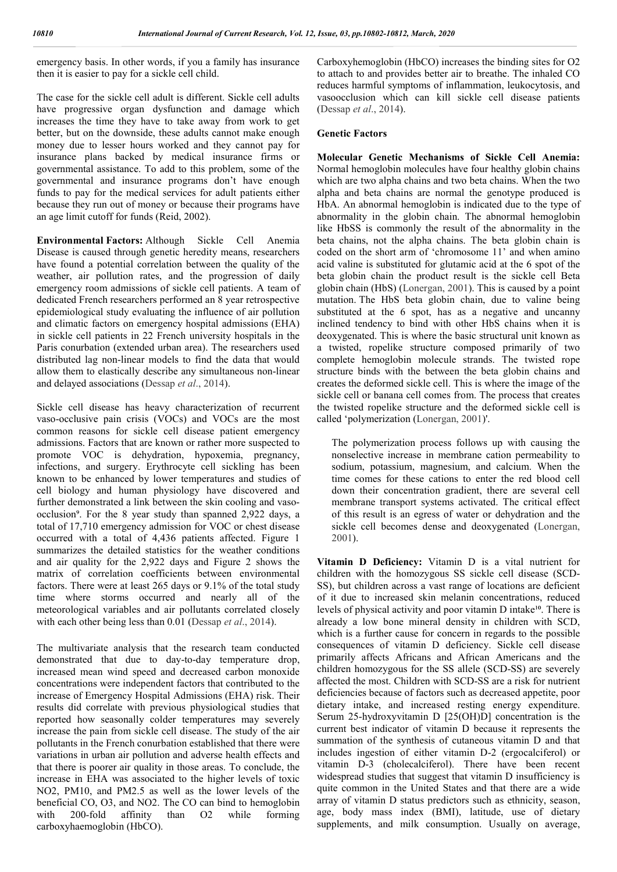emergency basis. In other words, if you a family has insurance then it is easier to pay for a sickle cell child.

The case for the sickle cell adult is different. Sickle cell adults have progressive organ dysfunction and damage which increases the time they have to take away from work to get better, but on the downside, these adults cannot make enough money due to lesser hours worked and they cannot pay for insurance plans backed by medical insurance firms or governmental assistance. To add to this problem, some of the governmental and insurance programs don't have enough funds to pay for the medical services for adult patients either because they run out of money or because their programs have an age limit cutoff for funds (Reid, 2002).

**Environmental Factors:** Although Sickle Cell Anemia Disease is caused through genetic heredity means, researchers have found a potential correlation between the quality of the weather, air pollution rates, and the progression of daily emergency room admissions of sickle cell patients. A team of dedicated French researchers performed an 8 year retrospective epidemiological study evaluating the influence of air pollution and climatic factors on emergency hospital admissions (EHA) in sickle cell patients in 22 French university hospitals in the Paris conurbation (extended urban area). The researchers used distributed lag non-linear models to find the data that would allow them to elastically describe any simultaneous non-linear and delayed associations (Dessap *et al*., 2014).

Sickle cell disease has heavy characterization of recurrent vaso-occlusive pain crisis (VOCs) and VOCs are the most common reasons for sickle cell disease patient emergency admissions. Factors that are known or rather more suspected to promote VOC is dehydration, hypoxemia, pregnancy, infections, and surgery. Erythrocyte cell sickling has been known to be enhanced by lower temperatures and studies of cell biology and human physiology have discovered and further demonstrated a link between the skin cooling and vasoocclusion<sup>9</sup>. For the 8 year study than spanned 2,922 days, a total of 17,710 emergency admission for VOC or chest disease occurred with a total of 4,436 patients affected. Figure 1 summarizes the detailed statistics for the weather conditions and air quality for the 2,922 days and Figure 2 shows the matrix of correlation coefficients between environmental factors. There were at least 265 days or 9.1% of the total study time where storms occurred and nearly all of the meteorological variables and air pollutants correlated closely with each other being less than 0.01 (Dessap *et al*., 2014).

The multivariate analysis that the research team conducted demonstrated that due to day-to-day temperature drop, increased mean wind speed and decreased carbon monoxide concentrations were independent factors that contributed to the increase of Emergency Hospital Admissions (EHA) risk. Their results did correlate with previous physiological studies that reported how seasonally colder temperatures may severely increase the pain from sickle cell disease. The study of the air pollutants in the French conurbation established that there were variations in urban air pollution and adverse health effects and that there is poorer air quality in those areas. To conclude, the increase in EHA was associated to the higher levels of toxic NO2, PM10, and PM2.5 as well as the lower levels of the beneficial CO, O3, and NO2. The CO can bind to hemoglobin with 200-fold affinity than O2 while forming carboxyhaemoglobin (HbCO).

Carboxyhemoglobin (HbCO) increases the binding sites for O2 to attach to and provides better air to breathe. The inhaled CO reduces harmful symptoms of inflammation, leukocytosis, and vasoocclusion which can kill sickle cell disease patients (Dessap *et al*., 2014).

#### **Genetic Factors**

**Molecular Genetic Mechanisms of Sickle Cell Anemia:**  Normal hemoglobin molecules have four healthy globin chains which are two alpha chains and two beta chains. When the two alpha and beta chains are normal the genotype produced is HbA. An abnormal hemoglobin is indicated due to the type of abnormality in the globin chain. The abnormal hemoglobin like HbSS is commonly the result of the abnormality in the beta chains, not the alpha chains. The beta globin chain is coded on the short arm of 'chromosome 11' and when amino acid valine is substituted for glutamic acid at the 6 spot of the beta globin chain the product result is the sickle cell Beta globin chain (HbS) (Lonergan, 2001). This is caused by a point mutation. The HbS beta globin chain, due to valine being substituted at the 6 spot, has as a negative and uncanny inclined tendency to bind with other HbS chains when it is deoxygenated. This is where the basic structural unit known as a twisted, ropelike structure composed primarily of two complete hemoglobin molecule strands. The twisted rope structure binds with the between the beta globin chains and creates the deformed sickle cell. This is where the image of the sickle cell or banana cell comes from. The process that creates the twisted ropelike structure and the deformed sickle cell is called 'polymerization (Lonergan, 2001)'.

The polymerization process follows up with causing the nonselective increase in membrane cation permeability to sodium, potassium, magnesium, and calcium. When the time comes for these cations to enter the red blood cell down their concentration gradient, there are several cell membrane transport systems activated. The critical effect of this result is an egress of water or dehydration and the sickle cell becomes dense and deoxygenated (Lonergan, 2001).

**Vitamin D Deficiency:** Vitamin D is a vital nutrient for children with the homozygous SS sickle cell disease (SCD-SS), but children across a vast range of locations are deficient of it due to increased skin melanin concentrations, reduced levels of physical activity and poor vitamin D intake<sup>10</sup>. There is already a low bone mineral density in children with SCD, which is a further cause for concern in regards to the possible consequences of vitamin D deficiency. Sickle cell disease primarily affects Africans and African Americans and the children homozygous for the SS allele (SCD-SS) are severely affected the most. Children with SCD-SS are a risk for nutrient deficiencies because of factors such as decreased appetite, poor dietary intake, and increased resting energy expenditure. Serum 25-hydroxyvitamin D [25(OH)D] concentration is the current best indicator of vitamin D because it represents the summation of the synthesis of cutaneous vitamin D and that includes ingestion of either vitamin D-2 (ergocalciferol) or vitamin D-3 (cholecalciferol). There have been recent widespread studies that suggest that vitamin D insufficiency is quite common in the United States and that there are a wide array of vitamin D status predictors such as ethnicity, season, age, body mass index (BMI), latitude, use of dietary supplements, and milk consumption. Usually on average,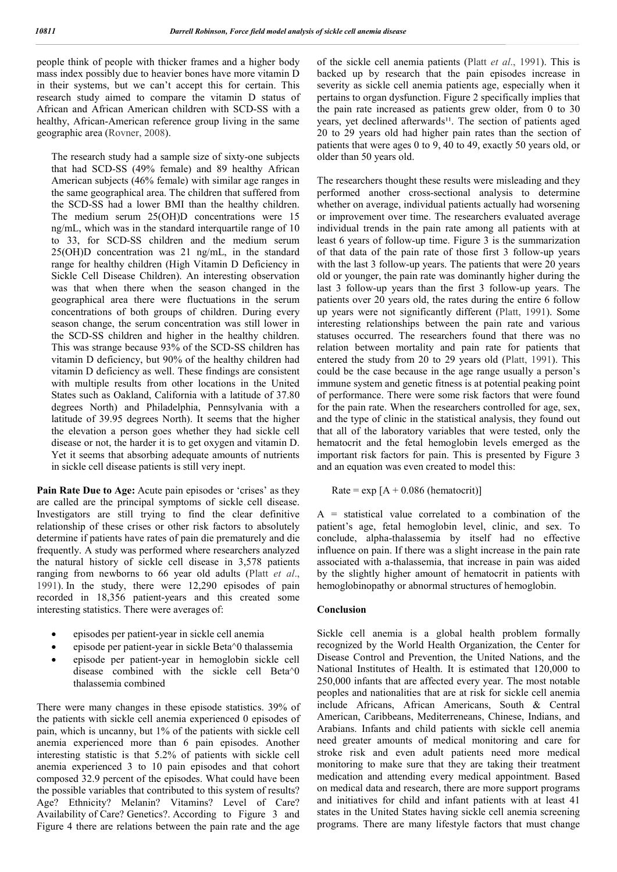people think of people with thicker frames and a higher body mass index possibly due to heavier bones have more vitamin D in their systems, but we can't accept this for certain. This research study aimed to compare the vitamin D status of African and African American children with SCD-SS with a healthy, African-American reference group living in the same geographic area (Rovner, 2008).

The research study had a sample size of sixty-one subjects that had SCD-SS (49% female) and 89 healthy African American subjects (46% female) with similar age ranges in the same geographical area. The children that suffered from the SCD-SS had a lower BMI than the healthy children. The medium serum 25(OH)D concentrations were 15 ng/mL, which was in the standard interquartile range of 10 to 33, for SCD-SS children and the medium serum 25(OH)D concentration was 21 ng/mL, in the standard range for healthy children (High Vitamin D Deficiency in Sickle Cell Disease Children). An interesting observation was that when there when the season changed in the geographical area there were fluctuations in the serum concentrations of both groups of children. During every season change, the serum concentration was still lower in the SCD-SS children and higher in the healthy children. This was strange because 93% of the SCD-SS children has vitamin D deficiency, but 90% of the healthy children had vitamin D deficiency as well. These findings are consistent with multiple results from other locations in the United States such as Oakland, California with a latitude of 37.80 degrees North) and Philadelphia, Pennsylvania with a latitude of 39.95 degrees North). It seems that the higher the elevation a person goes whether they had sickle cell disease or not, the harder it is to get oxygen and vitamin D. Yet it seems that absorbing adequate amounts of nutrients in sickle cell disease patients is still very inept.

Pain Rate Due to Age: Acute pain episodes or 'crises' as they are called are the principal symptoms of sickle cell disease. Investigators are still trying to find the clear definitive relationship of these crises or other risk factors to absolutely determine if patients have rates of pain die prematurely and die frequently. A study was performed where researchers analyzed the natural history of sickle cell disease in 3,578 patients ranging from newborns to 66 year old adults (Platt *et al*., 1991). In the study, there were 12,290 episodes of pain recorded in 18,356 patient-years and this created some interesting statistics. There were averages of:

- episodes per patient-year in sickle cell anemia
- episode per patient-year in sickle Beta^0 thalassemia
- episode per patient-year in hemoglobin sickle cell disease combined with the sickle cell Beta^0 thalassemia combined

There were many changes in these episode statistics. 39% of the patients with sickle cell anemia experienced 0 episodes of pain, which is uncanny, but 1% of the patients with sickle cell anemia experienced more than 6 pain episodes. Another interesting statistic is that 5.2% of patients with sickle cell anemia experienced 3 to 10 pain episodes and that cohort composed 32.9 percent of the episodes. What could have been the possible variables that contributed to this system of results? Age? Ethnicity? Melanin? Vitamins? Level of Care? Availability of Care? Genetics?. According to Figure 3 and Figure 4 there are relations between the pain rate and the age

of the sickle cell anemia patients (Platt *et al*., 1991). This is backed up by research that the pain episodes increase in severity as sickle cell anemia patients age, especially when it pertains to organ dysfunction. Figure 2 specifically implies that the pain rate increased as patients grew older, from 0 to 30 years, yet declined afterwards<sup>11</sup>. The section of patients aged 20 to 29 years old had higher pain rates than the section of patients that were ages 0 to 9, 40 to 49, exactly 50 years old, or older than 50 years old.

The researchers thought these results were misleading and they performed another cross-sectional analysis to determine whether on average, individual patients actually had worsening or improvement over time. The researchers evaluated average individual trends in the pain rate among all patients with at least 6 years of follow-up time. Figure 3 is the summarization of that data of the pain rate of those first 3 follow-up years with the last 3 follow-up years. The patients that were 20 years old or younger, the pain rate was dominantly higher during the last 3 follow-up years than the first 3 follow-up years. The patients over 20 years old, the rates during the entire 6 follow up years were not significantly different (Platt, 1991). Some interesting relationships between the pain rate and various statuses occurred. The researchers found that there was no relation between mortality and pain rate for patients that entered the study from 20 to 29 years old (Platt, 1991). This could be the case because in the age range usually a person's immune system and genetic fitness is at potential peaking point of performance. There were some risk factors that were found for the pain rate. When the researchers controlled for age, sex, and the type of clinic in the statistical analysis, they found out that all of the laboratory variables that were tested, only the hematocrit and the fetal hemoglobin levels emerged as the important risk factors for pain. This is presented by Figure 3 and an equation was even created to model this:

Rate =  $\exp[A + 0.086$  (hematocrit)]

A = statistical value correlated to a combination of the patient's age, fetal hemoglobin level, clinic, and sex. To conclude, alpha-thalassemia by itself had no effective influence on pain. If there was a slight increase in the pain rate associated with a-thalassemia, that increase in pain was aided by the slightly higher amount of hematocrit in patients with hemoglobinopathy or abnormal structures of hemoglobin.

### **Conclusion**

Sickle cell anemia is a global health problem formally recognized by the World Health Organization, the Center for Disease Control and Prevention, the United Nations, and the National Institutes of Health. It is estimated that 120,000 to 250,000 infants that are affected every year. The most notable peoples and nationalities that are at risk for sickle cell anemia include Africans, African Americans, South & Central American, Caribbeans, Mediterreneans, Chinese, Indians, and Arabians. Infants and child patients with sickle cell anemia need greater amounts of medical monitoring and care for stroke risk and even adult patients need more medical monitoring to make sure that they are taking their treatment medication and attending every medical appointment. Based on medical data and research, there are more support programs and initiatives for child and infant patients with at least 41 states in the United States having sickle cell anemia screening programs. There are many lifestyle factors that must change